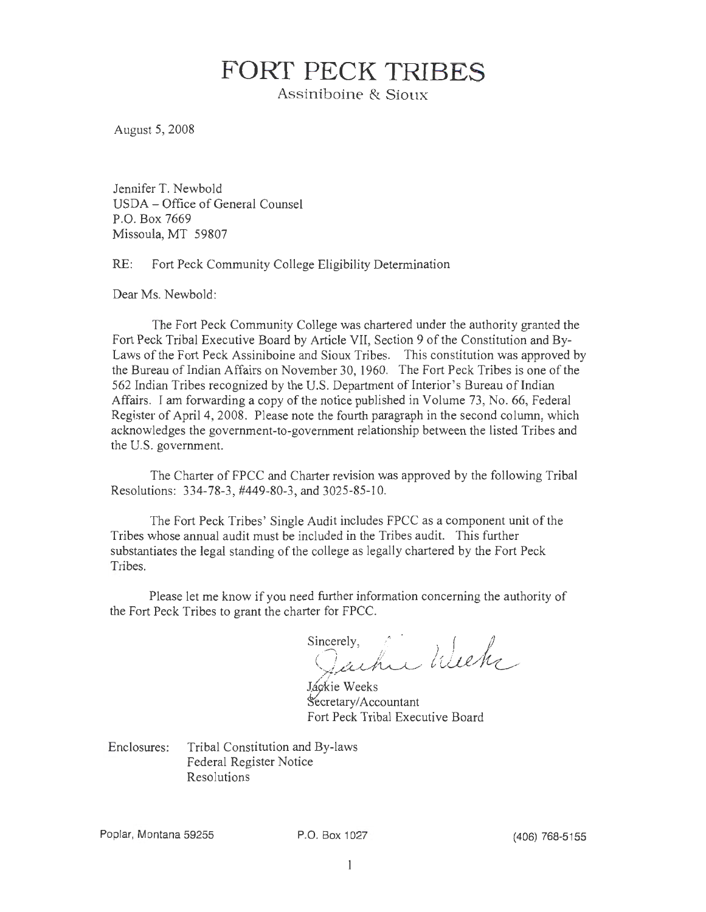# **FORT PECK TRIBES**

Assiniboine & Sioux

August 5, 2008

Jennifer T. Newbold USDA -Office of General Counsel P.O. Box 7669 Missoula, MT 59807

RE: Fort Peck Community College Eligibility Determination

Dear Ms. Newbold:

The Fort Peck Community College was chartered under the authority granted the Fort Peck Tribal Executive Board by Article VII, Section 9 of the Constitution and By-Laws of the Fort Peck Assiniboine and Sioux Tribes. This constitution was approved by the Bureau of Indian Affairs on November 30, 1960. The Fort Peck Tribes is one of the 562 Indian Tribes recognized by the U.S. Department of Interior's Bureau of Indian Affairs. I am forwarding a copy of the notice published in Volume 73 , No. 66, Federal Register of April 4, 2008. Please note the fourth paragraph in the second column, which acknowledges the government-to-government relationship between the listed Tribes and the U.S. government.

The Charter of FPCC and Charter revision was approved by the following Tribal Resolutions: 334-78-3, #449-80-3, and 3025-85-10.

The Fort Peck Tribes' Single Audit includes FPCC as a component unit of the Tribes whose annual audit must be included in the Tribes audit. This further substantiates the legal standing of the college as legally chartered by the Fort Peck Tribes.

Please let me know if you need further information concerning the authority of the Fort Peck Tribes to grant the charter for FPCC.

Sincerely,  $\mathcal{L}$ Jachu Wu . *<sup>r</sup>*/ !u\_\_u/~

Jáckie Weeks Secretary/Accountant Fort Peck Tribal Executive Board

Enclosures: Tribal Constitution and By-laws Federal Register Notice Resolutions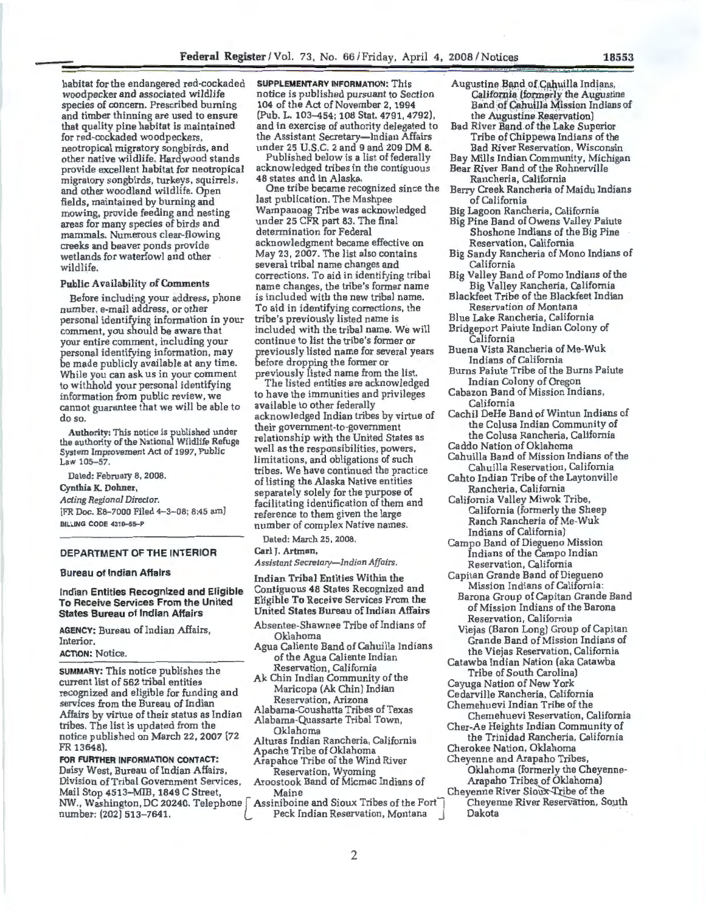habitat for the endangered red-cockaded woodpecker and associated wildlife species of concern. Prescribed burning and timber thinning are used to ensure that quality pine habitat is maintained for red-cockaded woodpeckers, neotropical migratory songbirds, and other native wildlife. Hardwood stands provide excellent habitat for neotropical migratory songbirds, turkeys, squirrels, and other woodland wildlife. Open fields, maintained by burning and mowing, provide feeding and nesting areas for many species of birds and mammals. Numerous clear-flowing creeks and beaver ponds provide wetlands for waterfowl and other wildlife.

#### Public Availability of Comments

Before including your address, phone number, e-mail address, or other personal identifying information in your comment, you should be aware that your entire comment, including your personal identifying information, may be made publicly available at any time. While you can ask us in your comment to withhold your personal identifying information from public review, we cannot guarantee that we will be able to do so.

Authority: This notice is published under the authority of the National Wildlife Refuge System Improvement Act of 1997, Public Law 105-57.

Dated: February 8, 2008.

Cynthia K. Dohner,

*Acting Regional Director.* 

[FR Doc. E8-7000 Filed 4-3-08; 8:45 am] BILLING CODE 4310-55-P

#### DEPARTMENT OF THE INTERIOR

#### Bureau of Indian Affairs

Indian Entities Recognized and Eligible To Receive Services From the United States Bureau of Indian Affairs

AGENCY: Bureau of Indian Affairs, Interior.

#### ACTION: Notice.

SUMMARY: This notice publishes the keservation, California (Support Tribe of South Carolina)<br>Current list of 562 tribal entities Ak Chin Indian Community of the Carnos Nation of New York current list of 562 tribal entities A Chim Indian Community of the Chamberland Community of the Maricopa (Ak Chin) Indian recognized and eligible for funding and<br>services from the Bureau of Indian<br>Alabama-Coushatta Tribes of Texas<br>Alabama-Coushatta Tribes of Texas<br>Chemehuevi Indian Tribe of the Affairs by virtue of their status as Indian Alabama-Cousination Intervals of the Chemehuevi Reservation, California<br>tribes. The list is updated from the Chemehuevi Reservation, California<br>Cher-Ae Heights Indian Community o notice published on March 22, 2007 (72 Alturas Indian Rancheria, California the Trinidad Rancheria, California FR 13648). Apache Tribe of Oklahoma<br>FOR FURTHER INFORMATION CONTACT: Arapahoe Tribe of the Wind River Cheyenne and Arapaho Tribes,

FOR FURTHER INFORMATION CONTACT: Arapahoe Tribe of the Wind River Cheyenne and Arapaho Tribes,<br>Daisy West, Bureau of Indian Affairs, Reservation, Wyoming Cheyenne Oklahoma (formerly the Cheyenne-Daisy West, Bureau of Indian Affairs, The Reservation, Wyoming The Oklahoma (formerly the Cheyenne-Division of Tribal Government Services, Aroostook Band of Micmac Indians of Arapaho Tribes of Oklahoma) Mail Stop 4513–MIB, 1849 C Street, Maine Cheyenne River Sioux-Tribe of the<br>NW., Washington, DC 20240. Telephone [ Assiniboine and Sioux Tribes of the Fort ] Cheyenne River Reservation, South NW., Washington, DC 20240. Telephone  $\lceil$  Assiniboine and Sioux Tribes of the Fort $\bar{\ }$ number: (202) 513-7641. Peck Indian Reservation, Montana J Dakota

SUPPLEMENTARY INFORMATION: This notice is published pursuant to Section 104 of the Act of November 2, 1994 (Pub. L. 103-454; 108 Stat. 4791, 4792). and in exercise of authority delegated to the Assistant Secretary—Indian Affairs under 25 U.S.C. 2 and 9 and 209 DM 8.

Published below is a list of federally acknowledged tribes in the contiguous 48 states and in Alaska.

One tribe became recognized since the last publication. The Mashpee Wampanoag Tribe was acknowledged under 25 CFR part 83. The final determination for Federal acknowledgment became effective on May 23, 2007. The list also contains several tribal name changes and corrections. To aid in identifying tribal name changes, the tribe's former name is included with the new tribal name. To aid in identifying corrections, the tribe's previously listed name is included with the tribal name. We will continue to list the tribe's former or previously listed name for several years before dropping the former or previously listed name from the list.

The listed entities are acknowledged to have the immunities and privileges available to other federally acknowledged Indian tribes by virtue of their government-to-government relationship with the United States as well as the responsibilities, powers, limitations, and obligations of such tribes. We have continued the practice of listing the Alaska Native entities separately solely for the purpose of facilitating identification of them and reference to them given the large number of complex Native names.

Dated: March 25, 2008 .

Carl J. Artman,

*Assistant Secretary-Indian Affairs.* Reservation, California

Contiguous 48 States Recognized and

- 
- Agua Caliente Band of Cahuilla Indians the Viejas Reservation, California<br>the Viejas Reservation, California<br>Catawha Indian Nation (aka Catawha of the Agua Cafferite murante control Catawba Indian Nation (aka Catawba Reservation, California
- 

- 
- 
- 
- 
- 
- Augustine Band of Cahuilla Indians, California (formerly the Augustine Band of Cahuilla Mission Indians of the Augustine Reservation)
- Bad River Band of the Lake Superior Tribe of Chippewa Indians of the Bad River Reservation, Wisconsin
- Bay Mills Indian Community, Michigan Bear River Band of the Rohnerville
- Rancheria, California Berry Creek Rancheria of Maidu Indians
- of California
- Big Lagoon Rancheria, California Big Pine Band of Owens Valley Paiute Shoshone Indians of the Big Pine Reservation, California
- Big Sandy Rancheria of Mono Indians of California
- Big Valley Band of Pomo Indians of the Big Valley Rancheria, California
- Blackfeet Tribe of the Blackfeet Indian Reservation of Montana
- Blue Lake Rancheria, California
- Bridgeport Paiute Indian Colony of California
- Buena Vista Rancheria of Me-Wuk Indians of California
- Burns Paiute Tribe of the Burns Paiute Indian Colony of Oregon
- Cabazon Band of Mission Indians, California
- Cachil DeHe Band of Wintun Indians of the Colusa Indian Community of the Colusa Rancheria, California Caddo Nation of Oklahoma
- Cahuilla Band of Mission Indians of the Cahuilla Reservation, California
- Cahto Indian Tribe of the Laytonville Rancheria, California
- California Valley Miwok Tribe, California (formerly the Sheep Ranch Rancheria of Me-Wuk Indians of California)
- Campo Band of Diegueno Mission Indians of the Campo Indian
- Indian Tribal Entities Within the Capitan Grande Band of Diegueno Eligible To Receive Services From the Barona Group of Capitan Grande Band<br>United States Bureau of Indian Affairs of Mission Indians of the Barona United States Bureau of Indian Affairs of Mission Indians of the Barona .<br>Absentee-Shawnee Tribe of Indians of Reservation , California
	- ntee-Shawnee Tribe of Indians of Millen (Baron Long) Group of Capitan<br>Oklahoma Grande Band of Mission Indians of Grande Band of Mission Indians of
		-
		- Cayuga Nation of New York
		-
		-
		-
		-
		-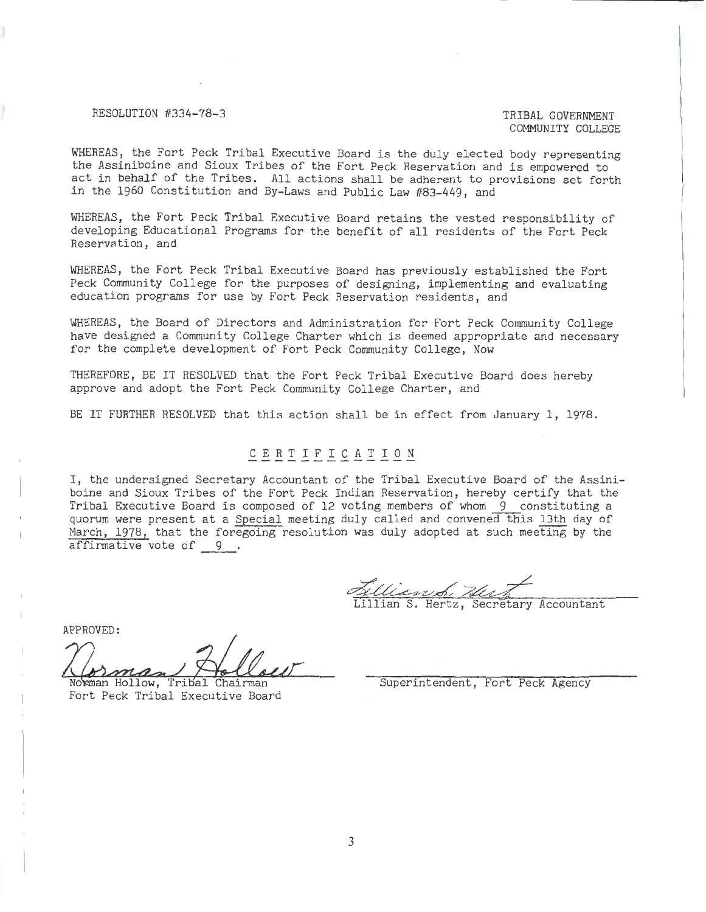#### RESOLUTION #334-78-3 TRIBAL GOVERNMENT

# COMMUNITY COLLEGE

WHEREAS, the Fort Peck Tribal Executive Board is the duly elected body representing the Assiniboine and Sioux Tribes of the Fort Peck Reservation and is empowered to act in behalf of the Tribes. All actions shall be adherent to provisions set forth in the 1960 Constitution and By-Laws and Public Law #83-449, and

WHEREAS, the Fort Peck Tribal Executive Board retains the vested responsibility of developing Educational Programs for the benefit of all residents of the Fort Peck Reservation, and

WHEREAS, the Fort Peck Tribal Executive Board has previously established the Fort Peck Community College for the purposes of designing, implementing and evaluating education programs for use by Fort Peck Reservation residents, and

WHEREAS, the Board of Directors and Administration for Fort Peck Community College have designed a Community College Charter which is deemed appropriate and necessary for the complete development of Fort Peck Community College, Now

THEREFORE, BE IT RESOLVED that the Fort Peck Tribal Executive Board does hereby approve and adopt the Fort Peck Community College Charter, and

BE IT FURTHER RESOLVED that this action shall be in effect from January 1, 1978.

## C E R T I F I C A T I O N

I, the undersigned Secretary Accountant of the Tribal Executive Board of the Assiniboine and Sioux Tribes of the Fort Peck Indian Reservation, hereby certify that the Tribal Executive Board is composed of 12 voting members of whom 9 constituting a quorum were present at a Special meeting duly called and convened this 13th day of March, 1978, that the foregoing resolution was duly adopted at such meeting by the affirmative vote of  $9$ .

Wasset, Hert

illian S. Hertz, Secretary Accountant

APPROVED:

Norman Hollow, Tribal Chairman

Fort Peck Tribal Executive Board

Superintendent, Fort Peck Agency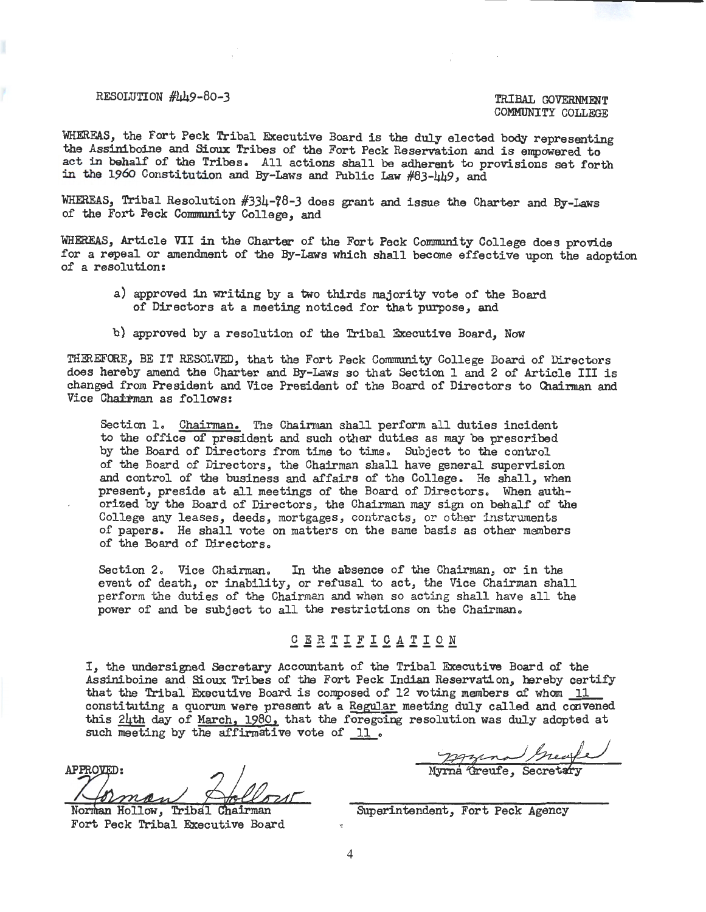#### RESOLUTION  $\# \mu$ 49-80-3 TRIBAL GOVERNMENT

COMMUNITY COLLEGE

WHEREAS, the Fort Peck Tribal Executive Board is the duly elected body representing the Assiniboine and Sioux Tribes of the Fort Peck Reservation and is empowered to act in behalf of the Tribes. All actions shall be adherent to provisions set forth in the 196o Constitution and By-Laws and Public Law #83-449, and

WHEREAS, Tribal Resolution #334-?8-3 does grant and issue the Charter and By-Laws of the Fort Peck Community College, and

WHEREAS, Article VII in the Charter of the Fort Peck Community College does provide for a repeal or amendment of the By-Laws which shall become effective upon the adoption of a resolution:

- a) approved in writing by a two thirds majority vote of the Board of Directors at a meeting noticed for that purpose, and
- b) approved by a resolution of the Tribal Executive Board, Now

THEREFORE, BE IT RESOLVED, that the Fort Peck Community College Board of Directors does hereby amend the Charter and By-Laws so that Section 1 and 2 of Article III is changed from President and Vice President of the Board of Directors to Chairman and Vice Chairman as follows:

Section 1. Chairman. The Chairman shall perform all duties incident to the office of president and such other duties as may be prescribed by the Board of Directors from time to time. Subject to the control of the Board of Directors, the Chairman shall have general supervision and control of the business and affairs of the College. He shall, when present, preside at all meetings of the Board of Directors. When authorized by the Board of Directors, the Chairman may sign on behalf of the College any leases, deeds, mortgages, contracts, or other instruments of papers. He shall vote on matters on the same basis as other members of the Board of Directors.

Section 2. Vice Chairman. In the absence of the Chairman, or in the event of death, or inability, or refusal to act, the Vice Chairman shall perform the duties of the Chairman and when so acting shall have all the power of and be subject to all the restrictions on the Chairman.

### $\underline{\mathtt{C}}\ \underline{\mathtt{E}}\ \underline{\mathtt{R}}\ \underline{\mathtt{T}}\ \underline{\mathtt{E}}\ \underline{\mathtt{L}}\ \underline{\mathtt{C}}\ \underline{\mathtt{A}}\ \underline{\mathtt{T}}\ \underline{\mathtt{L}}\ \underline{\mathtt{O}}\ \underline{\mathtt{N}}$

I, the undersigned Secretary Accountant of the Tribal Executive Board of the Assiniboine and Sioux Tribes of the Fort Peck Indian Reservation, hereby certify that the Tribal Executive Board is composed of 12 voting members of whom  $11$ constituting a quorum were present at a Regular meeting duly called and convened this 24th day of March, 1980, that the foregoing resolution was duly adopted at such meeting by the affirmative vote of 11.

APPROVED: man

Norman Hollow, Tribal Chairman Fort Peck Tribal Executive Board

 $~\bullet$  . The secretary of the secretary of the secretary of the secretary of the secretary of the secretary of the secretary of the secretary of the secretary of the secretary of the secretary of the secretary of the secre

Superintendent, Fort Peck Agency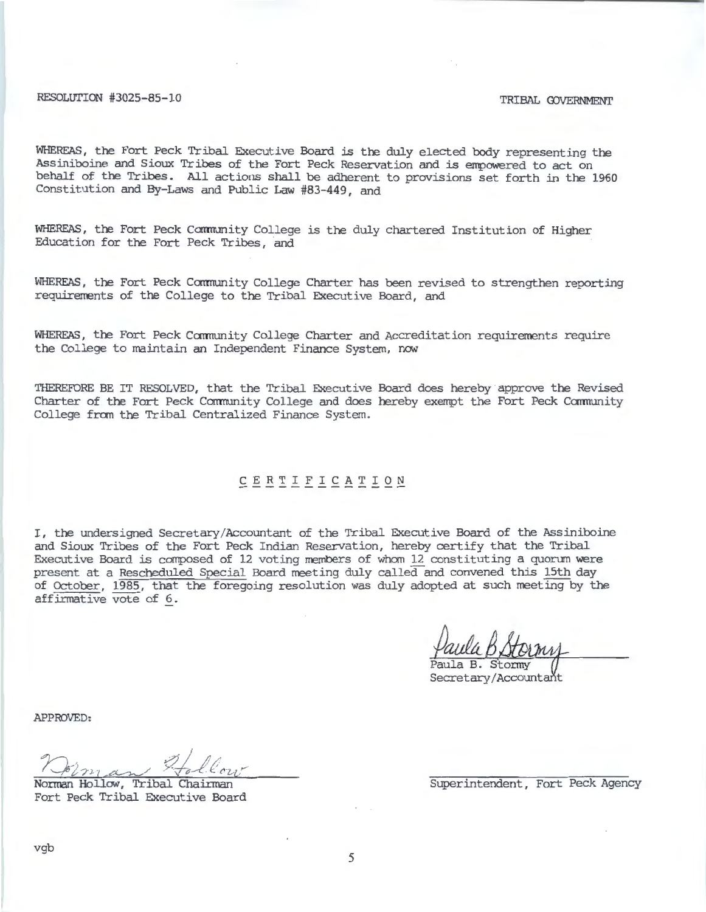RESOLUTION #3025-85-10 TRIBAL GOVERNMENT

WHEREAS, the Fort Peck Tribal Executive Board is the duly elected body representing the Assiniboine and Sioux Tribes of the Fort Peck Reservation and is empowered to act on behalf of the Tribes. All actions shall be adherent to provisions set forth in the 1960 Constitution and By-Laws and Public Law #83-449, and

WHEREAS, the Fort Peck Community College is the duly chartered Institution of Higher Education for the Fort Peck Tribes, and

WHEREAS, the Fort Peck Community College Charter has been revised to strengthen reporting requirements of the College to the Tribal Executive Board, and

WHEREAS, the Fort Peck Community College Charter and Accreditation requirements require the College to maintain an Independent Finance System, now

THEREFORE BE IT RESOLVED, that the Tribal Executive Board does hereby approve the Revised Charter of the Fort Peck Community College and does hereby exempt the Fort Peck Community College from the Tribal Centralized Finance System.

## C E R T I F I C A T I 0 N

I, the undersigned Secretary/Accountant of the Tribal Executive Board of the Assiniboine and Sioux Tribes of the Fort Peck Indian Reservation, hereby certify that the Tribal Executive Board is composed of 12 voting members of whom 12 constituting a quorum were present at a Rescheduled Special Board meeting duly called and convened this 15th day of October, 1985, that the foregoing resolution was duly adopted at such meeting by the affirmative vote of 6.

Secretary/Accountant

APPROVED:

 $22/10$ <sup>f</sup>~ *i ·;n* ·1 cc~./ ,. ·v-i/--1:.· e. *t'L-C ....* 

Norman Hollow, Tribal Chairman Fort Peck Tribal Executive Board

Superintendent, Fort Peck Agency

vgb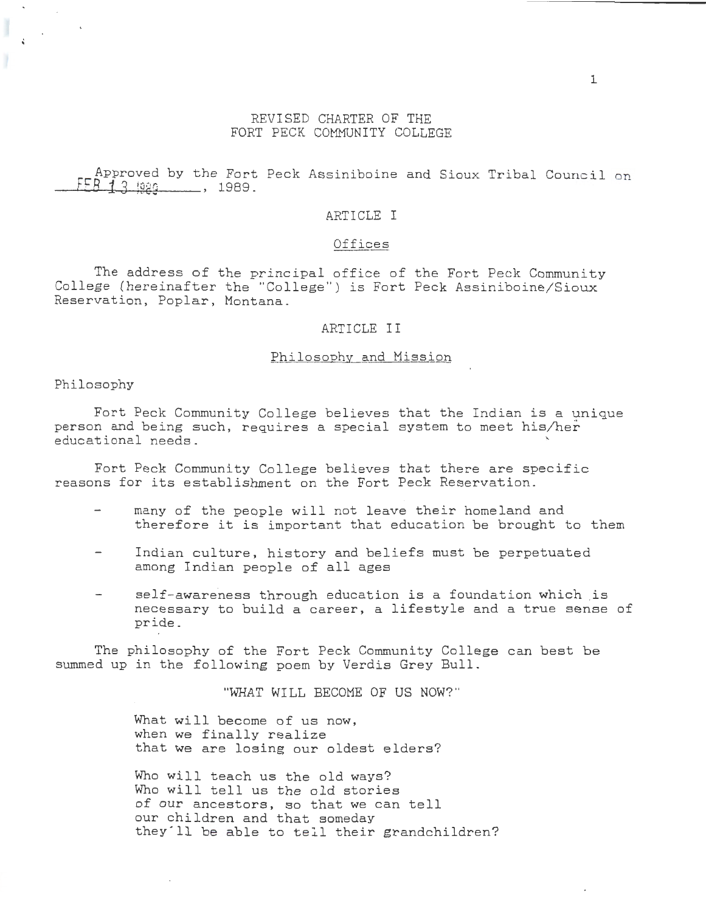#### REVISED CHARTER OF THE FORT PECK COMMUNITY COLLEGE

Approved by the Fort Peck Assiniboine and Sioux Tribal Council on  $f = 8713 + 989$ .

#### ARTICLE I

### <u>Offices</u>

The address of the principal office of the Fort Peck Community College (hereinafter the "College") is Fort Peck Assiniboine/Sioux Reservation, Poplar, Montana.

#### ARTICLE II

#### Philosophy and Mission

Philosophy

<sup>~</sup>

Fort Peck Community College believes that the Indian is a unique person and being such, requires a special system to meet his/her educational needs. <sup>~</sup>

Fort Peck Community College believes that there are specific reasons for its establishment on the Fort Peck Reservation.

- many of the people will not leave their homeland and therefore it is important that education be brought to them
- Indian culture, history and beliefs must be perpetuated among Indian people of all ages
- self-awareness through education is a foundation which is necessary to build a career, a lifestyle and a true sense of pride.

The philosophy of the Fort Peck Community College can best be summed up in the following poem by Verdis Grey Bull.

"WHAT WILL BECOME OF US NOW? "

What will become of us now, when we finally realize that we are losing our oldest elders?

Who will teach us the old ways? Who will tell us the old stories of our ancestors, so that we can tell our children and that someday they'll be able to sell their grandchildren?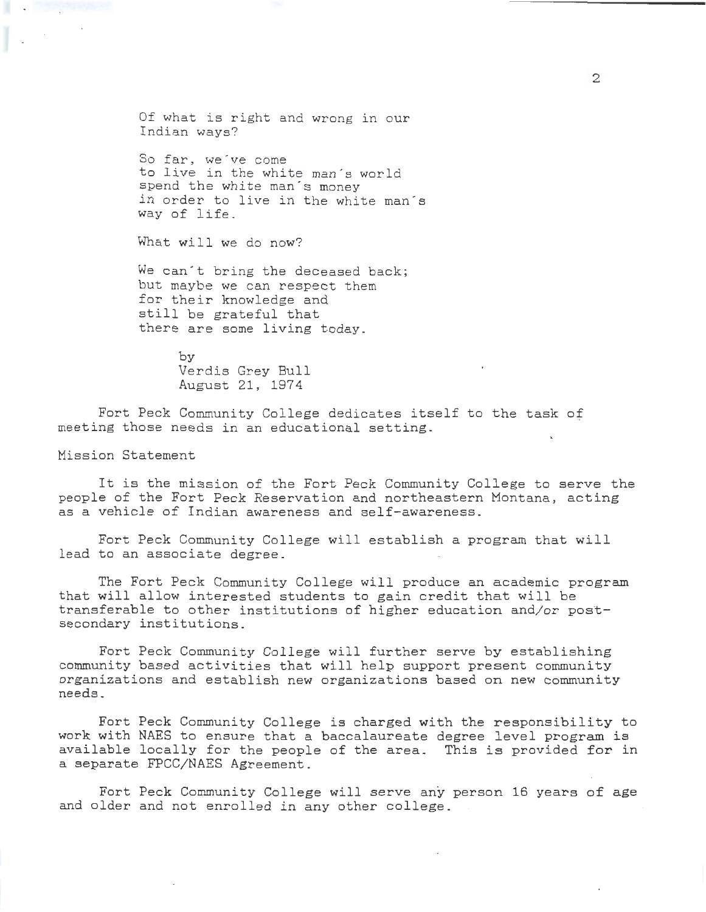Of what is right and wrong in our Indian ways?

So far, we've come to live in the white man's world spend the white man's money in order to live in the white man's way of life.

What will we do now?

We can't bring the deceased back; but maybe we can respect them for their knowledge and still be grateful that there are some living today.

> by Verdis Grey Bull August 21, 1974

Fort Peck Community College dedicates itself to the task of meeting those needs in an educational setting.

Mission Statement

It is the mission of the Fort Peck Community College to serve the people of the Fort Peck Reservation and northeastern Montana, acting as a vehicle of Indian awareness and self-awareness.

Fort Peck Community College will establish a program that will lead to an associate degree.

The Fort Peck Community College will produce an academic program that will allow interested students to gain credit that will be transferable to other institutions of higher education and/or postsecondary institutions.

Fort Peck Community College will further serve by establishing community based activities that will help support present community organizations and establish new organizations based on new community needs.

Fort Peck Community College is charged with the responsibility to work with NAES to ensure that a baccalaureate degree level program is available locally for the people of the area. This is provided for in a separate FPCC/NAES Agreement.

Fort Peck Community College will serve any person 16 years of age and older and not enrolled in any other college.

2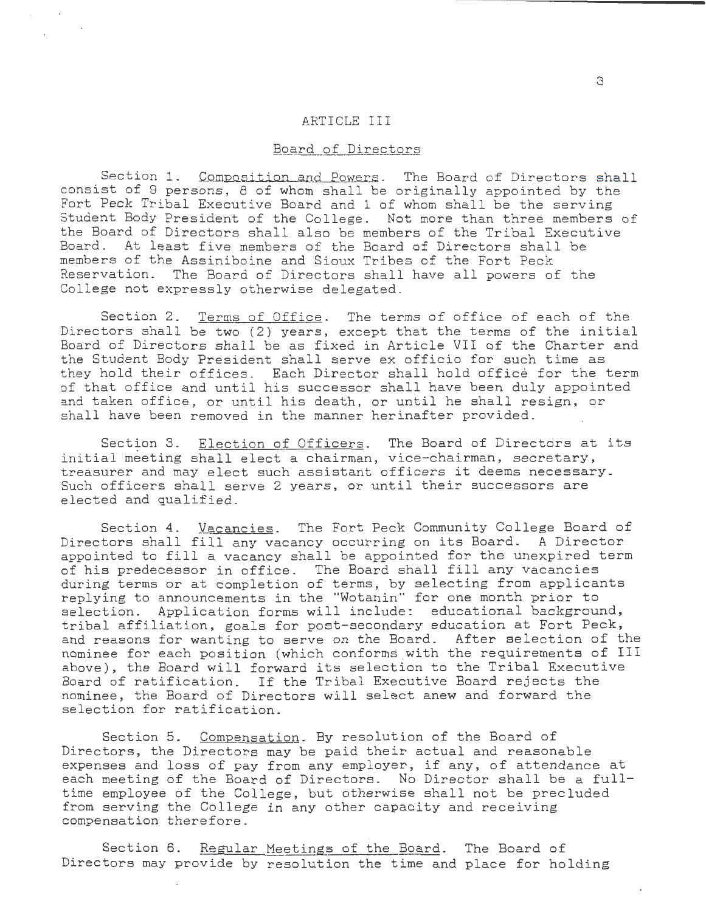#### ARTICLE III

#### Board of Directors

Section 1. Composition and Powers. The Board of Directors shall consist of 9 persons, 8 of whom shall be originally appointed by the Fort Peck Tribal Executive Board and 1 of whom shall be the serving Student Body President of the College. Not more than three members of the Board of Directors shall also be members of the Tribal Executive Board. At least five members of the Board of Directors shall be members of the Assiniboine and Sioux Tribes of the Fort Peck Reservation. The Board of Directors shall have all powers of the College not expressly otherwise delegated.

Section 2. Terms of Office. The terms of office of each of the Directors shall be two (2) years, except that the terms of the initial Board of Directors shall be as fixed in Article VII of the Charter and the Student Body President shall serve ex officio for such time as they hold their offices. Each Director shall hold office for the term of that office and until his successor shall have been duly appointed and taken office, or until his death, or until he shall resign, or shall have been removed in the manner herinafter provided.

Section 3. Election of Officers. The Board of Directors at its initial meeting shall elect a chairman, vice-chairman, secretary, treasurer and may elect such assistant officers it deems necessary. Such officers shall serve 2 years, or until their successors are elected and qualified.

Section 4. Vacancies. The Fort Peck Community College Board of Directors shall fill any vacancy occurring on its Board. A Director appointed to fill a vacancy shall be appointed for the unexpired term of his predecessor in office. The Board shall fill any vacancies during terms or at completion of terms, by selecting from applicants replying to announcements in the "Wotanin" for one month prior to selection. Application forms will include: educational background, tribal affiliation, goals for post-secondary education at Fort Peck, and reasons for wanting to serve on the Board. After selection of the nominee for each position (which conforms with the requirements of III above), the Board will forward its selection to the Tribal Executive Board of ratification. If the Tribal Executive Board rejects the nominee, the Board of Directors will select anew and forward the selection for ratification.

Section 5. Compensation. By resolution of the Board of Directors, the Directors may be paid their actual and reasonable expenses and loss of pay from any employer, if any, of attendance at each meeting of the Board of Directors. No Director shall be a fulltime employee of the College, but otherwise shall not be precluded from serving the College in any other capacity and receiving compensation therefore.

Section 6. Regular Meetings of the Board. The Board of Directors may provide by resolution the time and place for holding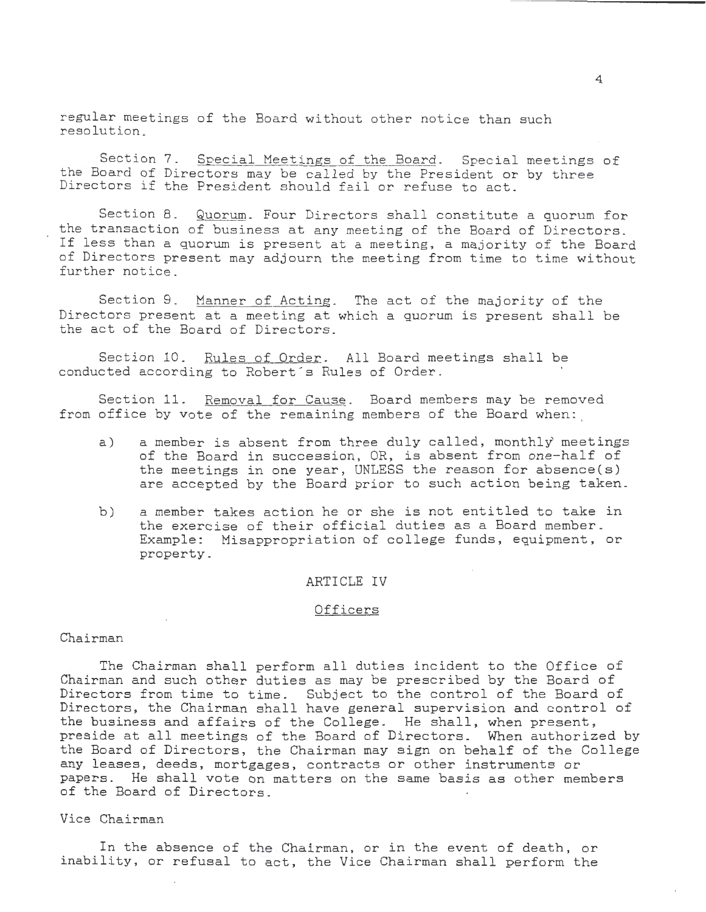regular meetings of the Board without other notice than such resolution\_

Section 7. Special Meetings of the Board. Special meetings of the Board of Directors may be called by the President or by three Directors if the President should fail or refuse to act.

Section 8. Quorum. Four Directors shall constitute a quorum for the transaction of business at any meeting of the Board of Directors. If less than a quorum is present at a meeting, a majority of the Board of Directors present may adjourn the meeting from time to time without further notice\_

Section 9. Manner of Acting. The act of the majority of the Directors present at a meeting at which a quorum is present shall be the act of the Board of Directors.

Section 10. Rules of Order. All Board meetings shall be conducted according to Robert's Rules of Order.

Section 11. Removal for Cause. Board members may be removed from office by vote of the remaining members of the Board when:

- a) a member is absent from three duly called, monthly meetings of the Board in succession, OR, is absent from one-half of the meetings in one year, UNLESS the reason for absence(s) are accepted by the Board prior to such action being taken.
- b) a member takes action he or she is not entitled to take in the exercise of their official duties as a Board member. Example: Misappropriation of college funds, equipment, or property\_

#### ARTICLE IV

### **Officers**

#### Chairman

The Chairman shall perform all duties incident to the Office of Chairman and such other duties as may be prescribed by the Board of Directors from time to time. Subject to the control of the Board of Directors, the Chairman shall have general supervision and control of the business and affairs of the College. He shall, when present, preside at all meetings of the Board of Directors. When authorized by the Board of Directors, the Chairman may sign on behalf of the College any leases, deeds, mortgages, contracts or other instruments or papers. He shall vote on matters on the same basis as other members of the Board of Directors.

#### Vice Chairman

In the absence of the Chairman, or in the event of death, or inability, or refusal to act, the Vice Chairman shall perform the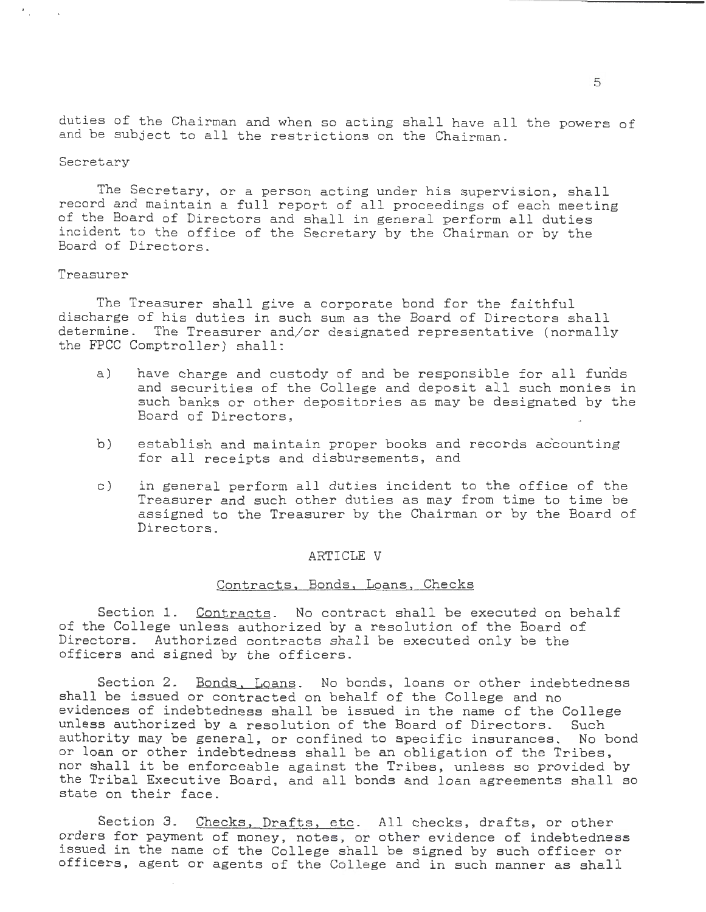duties of the Chairman and when so acting shall have all the powers of and be subject to all the restrictions on the Chairman.

#### Secretary

٠.

The Secretary, or a person acting under his supervision, shall record and maintain a full report of all proceedings of each meeting of the Board of Directors and shall in general perform all duties incident to the office of the Secretary by the Chairman or by the Board of Directors.

#### Treasurer

The Treasurer shall give a corporate bond for the faithful discharge of his duties in such sum as the Board of Directors shall determine. The Treasurer and/or designated representative (normally the FPCC Comptroller) shall:

- a) have charge and custody of and be responsible for all funds and securities of the College and deposit all such monies in such banks or other depositories as may be designated by the Board of Directors,
- b) establish and maintain proper books and records accounting for all receipts and disbursements, and
- c) in general perform all duties incident to the office of the Treasurer and such other duties as may from time to time be assigned to the Treasurer by the Chairman or by the Board of Directors.

#### ARTICLE V

#### Contracts, Bonds, Loans, Checks

Section 1. Contracts. No contract shall be executed on behalf of the College unless authorized by a resolution of the Board of Directors. Authorized contracts shall be executed only be the officers and signed by the officers.

Section 2. Bonds, Loans. No bonds, loans or other indebtedness shall be issued or contracted on behalf of the College and no evidences of indebtedness shall be issued in the name of the College unless authorized by a resolution of the Board of Directors. Such authority may be general, or confined to specific insurances. No bond or loan or other indebtedness shall be an obligation of the Tribes, nor shall it be enforceable against the Tribes, unless so provided by the Tribal Executive Board, and all bonds and loan agreements shall so state on their face.

Section 3. Checks, Drafts, etc. All checks, drafts, or other orders for payment of money, notes, or other evidence of indebtedness issued in the name of the College shall be signed by such officer or officers, agent or agents of the College and in such manner as shall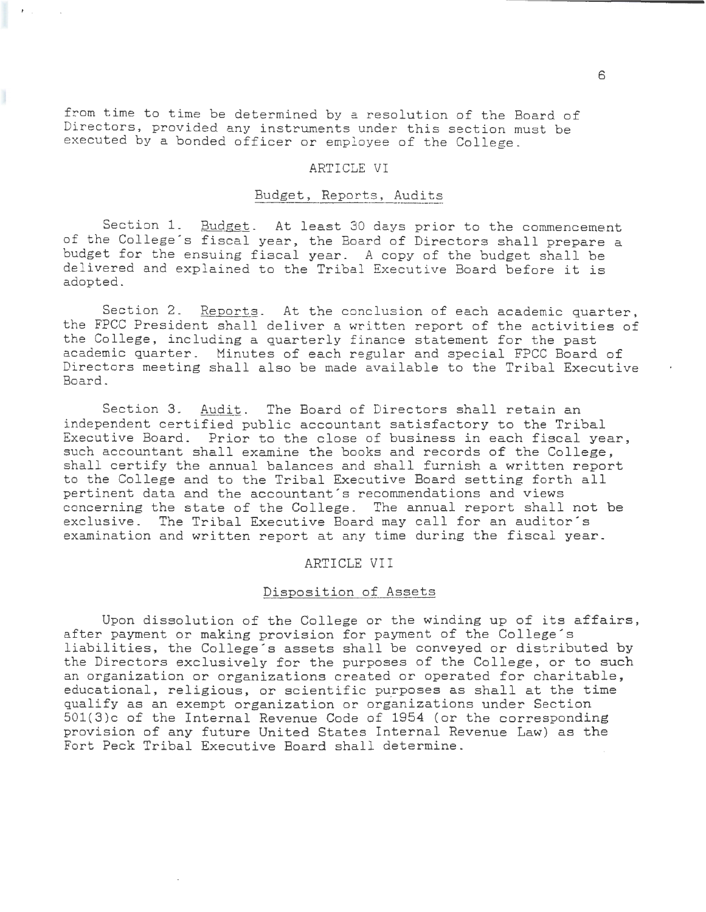from time to time be determined by a resolution of the Board of Directors, provided any instruments under this section must be executed by a bonded officer or employee of the College.

#### ARTICLE VI

#### Budget, Reports, Audits

Section 1. Budget. At least 30 days prior to the commencement of the College's fiscal year, the Board of Directors shall prepare a budget for the ensuing fiscal year. A copy of the budget shall be delivered and explained to the Tribal Executive Board before it is adopted.

Section 2. Reports. At the conclusion of each academic quarter, the FPCC President shall deliver a written report of the activities of the College, including a quarterly finance statement for the past academic quarter. Minutes of each regular and special FPCC Board of Directors meeting shall also be made available to the Tribal Executive Board.

Section 3. Audit. The Board of Directors shall retain an independent certified public accountant satisfactory to the Tribal Executive Board. Prior to the close of business in each fiscal year, such accountant shall examine the books and records of the College, shall certify the annual balances and shall furnish a written report to the College and to the Tribal Executive Board setting forth all pertinent data and the accountant's recommendations and views concerning the state of the College. The annual report shall not be exclusive. The Tribal Executive Board may call for an auditor's examination and written report at any time during the fiscal year.

#### ARTICLE VII

#### Disposition of Assets

Upon dissolution of the College or the winding up of its affairs, after payment or making provision for payment of the College's liabilities, the College's assets shall be conveyed or distributed by the Directors exclusively for the purposes of the College, or to such an organization or organizations created or operated for charitable, educational, religious, or scientific purposes as shall at the time qualify as an exempt organization or organizations under Section 501(3)c of the Internal Revenue Code of 1954 (or the corresponding provision of any future United States Internal Revenue Law) as the Fort Peck Tribal Executive Board shall determine.